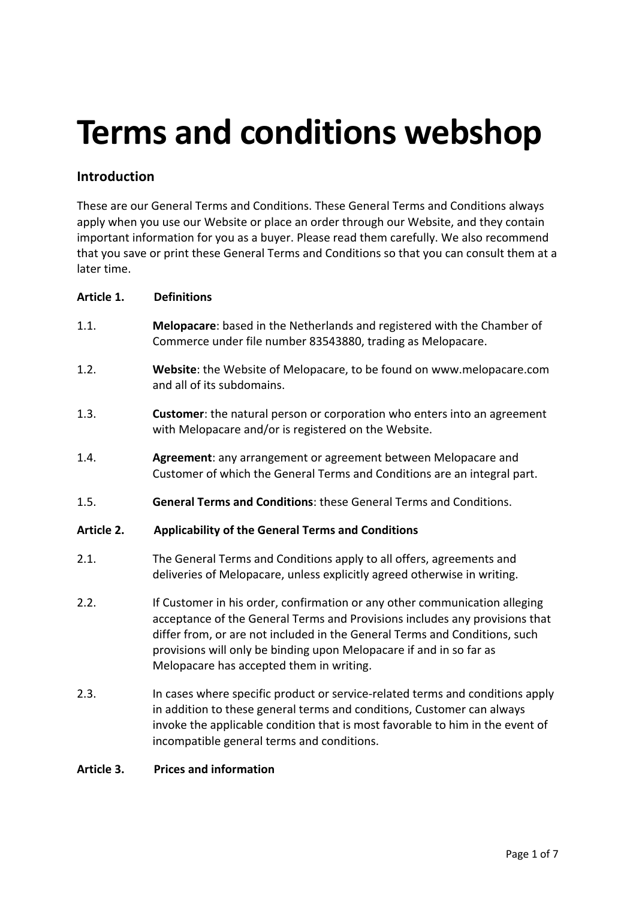# **Terms and conditions webshop**

# **Introduction**

These are our General Terms and Conditions. These General Terms and Conditions always apply when you use our Website or place an order through our Website, and they contain important information for you as a buyer. Please read them carefully. We also recommend that you save or print these General Terms and Conditions so that you can consult them at a later time.

#### **Article 1. Definitions**

- 1.1. **Melopacare**: based in the Netherlands and registered with the Chamber of Commerce under file number 83543880, trading as Melopacare.
- 1.2. **Website**: the Website of Melopacare, to be found on www.melopacare.com and all of its subdomains.
- 1.3. **Customer**: the natural person or corporation who enters into an agreement with Melopacare and/or is registered on the Website.
- 1.4. **Agreement**: any arrangement or agreement between Melopacare and Customer of which the General Terms and Conditions are an integral part.
- 1.5. **General Terms and Conditions**: these General Terms and Conditions.

#### **Article 2. Applicability of the General Terms and Conditions**

- 2.1. The General Terms and Conditions apply to all offers, agreements and deliveries of Melopacare, unless explicitly agreed otherwise in writing.
- 2.2. If Customer in his order, confirmation or any other communication alleging acceptance of the General Terms and Provisions includes any provisions that differ from, or are not included in the General Terms and Conditions, such provisions will only be binding upon Melopacare if and in so far as Melopacare has accepted them in writing.
- 2.3. In cases where specific product or service-related terms and conditions apply in addition to these general terms and conditions, Customer can always invoke the applicable condition that is most favorable to him in the event of incompatible general terms and conditions.

#### **Article 3. Prices and information**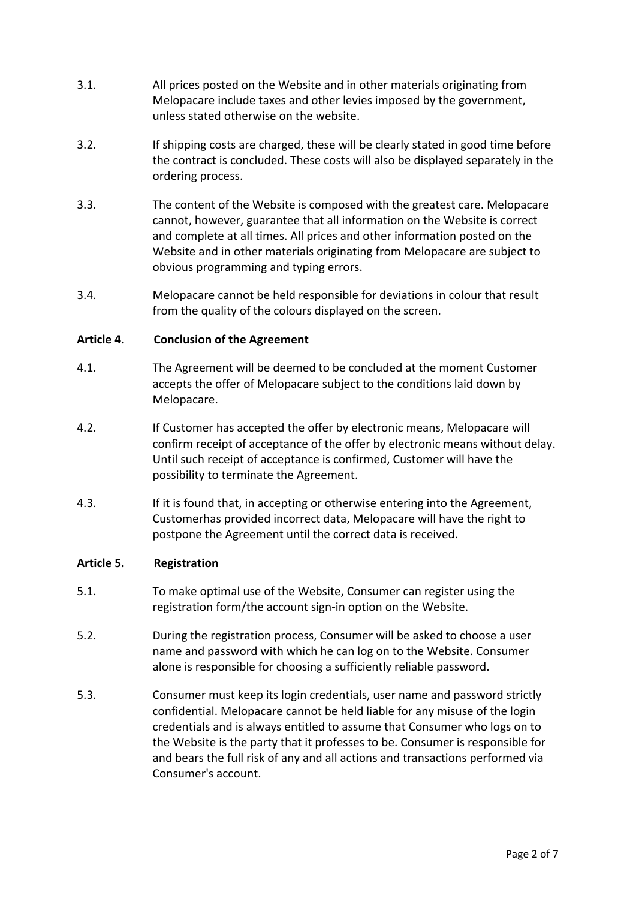- 3.1. All prices posted on the Website and in other materials originating from Melopacare include taxes and other levies imposed by the government, unless stated otherwise on the website.
- 3.2. If shipping costs are charged, these will be clearly stated in good time before the contract is concluded. These costs will also be displayed separately in the ordering process.
- 3.3. The content of the Website is composed with the greatest care. Melopacare cannot, however, guarantee that all information on the Website is correct and complete at all times. All prices and other information posted on the Website and in other materials originating from Melopacare are subject to obvious programming and typing errors.
- 3.4. Melopacare cannot be held responsible for deviations in colour that result from the quality of the colours displayed on the screen.

#### **Article 4. Conclusion of the Agreement**

- 4.1. The Agreement will be deemed to be concluded at the moment Customer accepts the offer of Melopacare subject to the conditions laid down by Melopacare.
- 4.2. If Customer has accepted the offer by electronic means, Melopacare will confirm receipt of acceptance of the offer by electronic means without delay. Until such receipt of acceptance is confirmed, Customer will have the possibility to terminate the Agreement.
- 4.3. If it is found that, in accepting or otherwise entering into the Agreement, Customerhas provided incorrect data, Melopacare will have the right to postpone the Agreement until the correct data is received.

#### **Article 5. Registration**

- 5.1. To make optimal use of the Website, Consumer can register using the registration form/the account sign-in option on the Website.
- 5.2. During the registration process, Consumer will be asked to choose a user name and password with which he can log on to the Website. Consumer alone is responsible for choosing a sufficiently reliable password.
- 5.3. Consumer must keep its login credentials, user name and password strictly confidential. Melopacare cannot be held liable for any misuse of the login credentials and is always entitled to assume that Consumer who logs on to the Website is the party that it professes to be. Consumer is responsible for and bears the full risk of any and all actions and transactions performed via Consumer's account.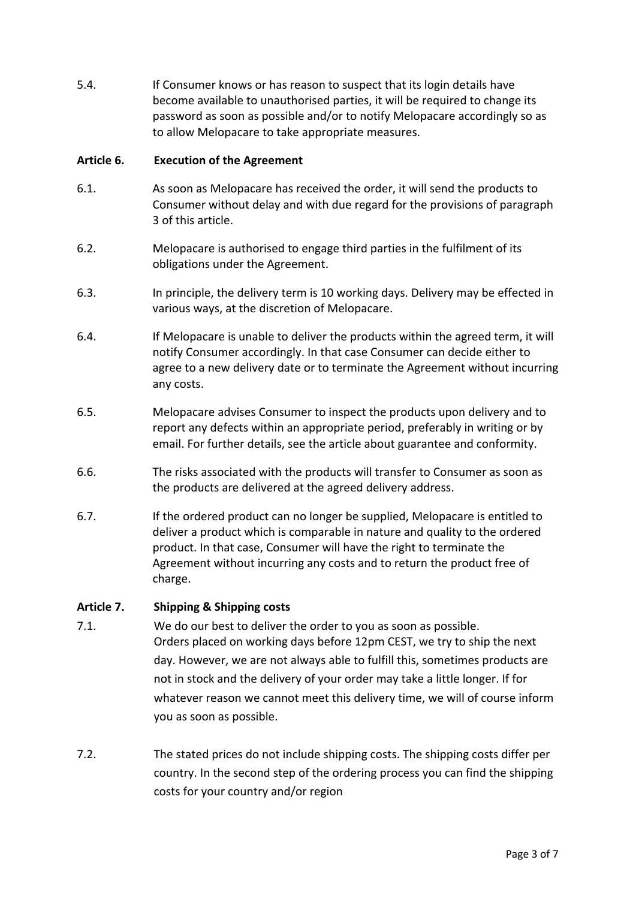5.4. If Consumer knows or has reason to suspect that its login details have become available to unauthorised parties, it will be required to change its password as soon as possible and/or to notify Melopacare accordingly so as to allow Melopacare to take appropriate measures.

#### **Article 6. Execution of the Agreement**

- 6.1. As soon as Melopacare has received the order, it will send the products to Consumer without delay and with due regard for the provisions of paragraph 3 of this article.
- 6.2. Melopacare is authorised to engage third parties in the fulfilment of its obligations under the Agreement.
- 6.3. In principle, the delivery term is 10 working days. Delivery may be effected in various ways, at the discretion of Melopacare.
- 6.4. If Melopacare is unable to deliver the products within the agreed term, it will notify Consumer accordingly. In that case Consumer can decide either to agree to a new delivery date or to terminate the Agreement without incurring any costs.
- 6.5. Melopacare advises Consumer to inspect the products upon delivery and to report any defects within an appropriate period, preferably in writing or by email. For further details, see the article about guarantee and conformity.
- 6.6. The risks associated with the products will transfer to Consumer as soon as the products are delivered at the agreed delivery address.
- 6.7. If the ordered product can no longer be supplied, Melopacare is entitled to deliver a product which is comparable in nature and quality to the ordered product. In that case, Consumer will have the right to terminate the Agreement without incurring any costs and to return the product free of charge.

#### **Article 7. Shipping & Shipping costs**

- 7.1. We do our best to deliver the order to you as soon as possible. Orders placed on working days before 12pm CEST, we try to ship the next day. However, we are not always able to fulfill this, sometimes products are not in stock and the delivery of your order may take a little longer. If for whatever reason we cannot meet this delivery time, we will of course inform you as soon as possible.
- 7.2. The stated prices do not include shipping costs. The shipping costs differ per country. In the second step of the ordering process you can find the shipping costs for your country and/or region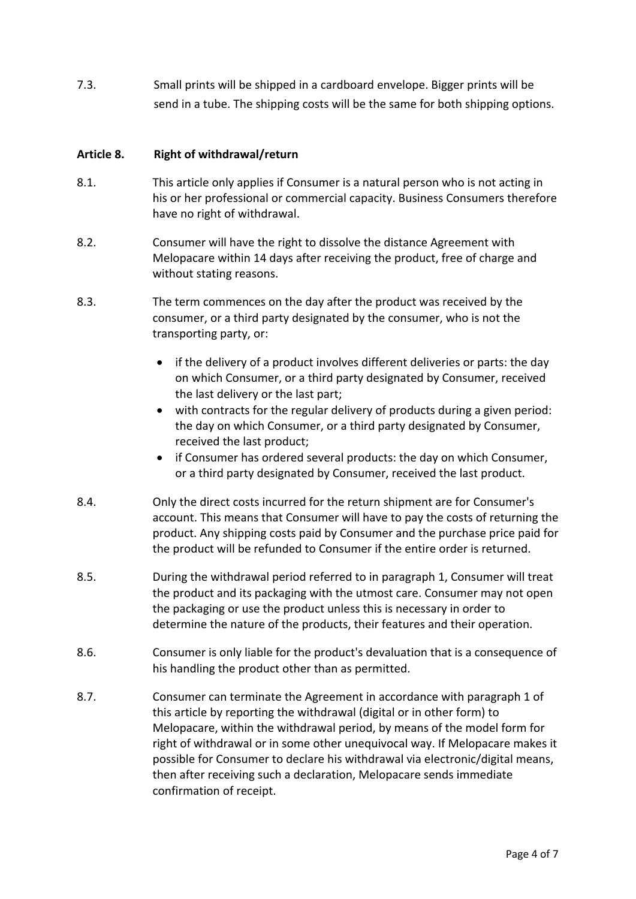7.3. Small prints will be shipped in a cardboard envelope. Bigger prints will be send in a tube. The shipping costs will be the same for both shipping options.

#### **Article 8. Right of withdrawal/return**

- 8.1. This article only applies if Consumer is a natural person who is not acting in his or her professional or commercial capacity. Business Consumers therefore have no right of withdrawal.
- 8.2. Consumer will have the right to dissolve the distance Agreement with Melopacare within 14 days after receiving the product, free of charge and without stating reasons.
- 8.3. The term commences on the day after the product was received by the consumer, or a third party designated by the consumer, who is not the transporting party, or:
	- if the delivery of a product involves different deliveries or parts: the day on which Consumer, or a third party designated by Consumer, received the last delivery or the last part;
	- with contracts for the regular delivery of products during a given period: the day on which Consumer, or a third party designated by Consumer, received the last product;
	- if Consumer has ordered several products: the day on which Consumer, or a third party designated by Consumer, received the last product.
- 8.4. Only the direct costs incurred for the return shipment are for Consumer's account. This means that Consumer will have to pay the costs of returning the product. Any shipping costs paid by Consumer and the purchase price paid for the product will be refunded to Consumer if the entire order is returned.
- 8.5. During the withdrawal period referred to in paragraph 1, Consumer will treat the product and its packaging with the utmost care. Consumer may not open the packaging or use the product unless this is necessary in order to determine the nature of the products, their features and their operation.
- 8.6. Consumer is only liable for the product's devaluation that is a consequence of his handling the product other than as permitted.
- 8.7. Consumer can terminate the Agreement in accordance with paragraph 1 of this article by reporting the withdrawal (digital or in other form) to Melopacare, within the withdrawal period, by means of the model form for right of withdrawal or in some other unequivocal way. If Melopacare makes it possible for Consumer to declare his withdrawal via electronic/digital means, then after receiving such a declaration, Melopacare sends immediate confirmation of receipt.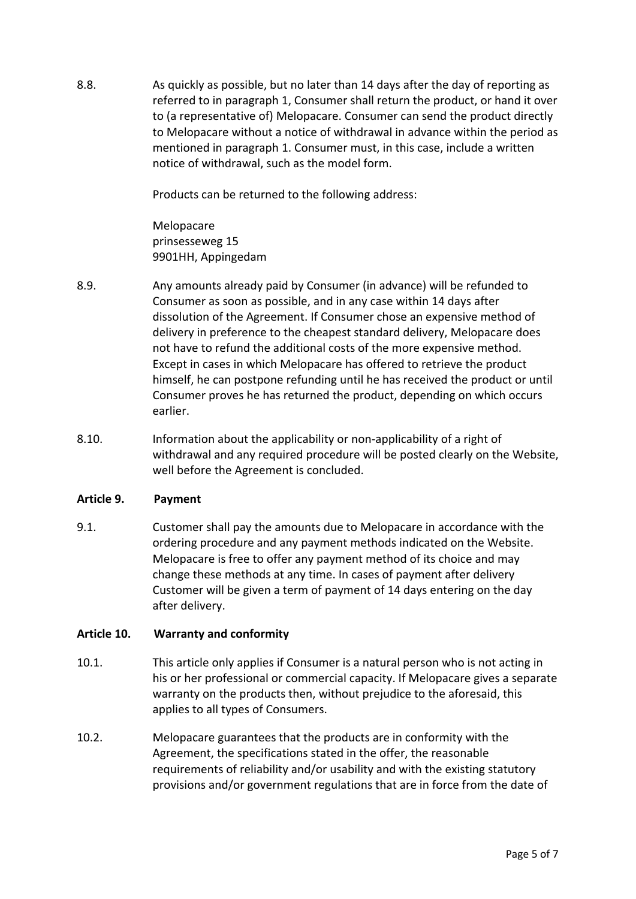8.8. As quickly as possible, but no later than 14 days after the day of reporting as referred to in paragraph 1, Consumer shall return the product, or hand it over to (a representative of) Melopacare. Consumer can send the product directly to Melopacare without a notice of withdrawal in advance within the period as mentioned in paragraph 1. Consumer must, in this case, include a written notice of withdrawal, such as the model form.

Products can be returned to the following address:

Melopacare prinsesseweg 15 9901HH, Appingedam

- 8.9. Any amounts already paid by Consumer (in advance) will be refunded to Consumer as soon as possible, and in any case within 14 days after dissolution of the Agreement. If Consumer chose an expensive method of delivery in preference to the cheapest standard delivery, Melopacare does not have to refund the additional costs of the more expensive method. Except in cases in which Melopacare has offered to retrieve the product himself, he can postpone refunding until he has received the product or until Consumer proves he has returned the product, depending on which occurs earlier.
- 8.10. Information about the applicability or non-applicability of a right of withdrawal and any required procedure will be posted clearly on the Website, well before the Agreement is concluded.

#### **Article 9. Payment**

9.1. Customer shall pay the amounts due to Melopacare in accordance with the ordering procedure and any payment methods indicated on the Website. Melopacare is free to offer any payment method of its choice and may change these methods at any time. In cases of payment after delivery Customer will be given a term of payment of 14 days entering on the day after delivery.

## **Article 10. Warranty and conformity**

- 10.1. This article only applies if Consumer is a natural person who is not acting in his or her professional or commercial capacity. If Melopacare gives a separate warranty on the products then, without prejudice to the aforesaid, this applies to all types of Consumers.
- 10.2. Melopacare guarantees that the products are in conformity with the Agreement, the specifications stated in the offer, the reasonable requirements of reliability and/or usability and with the existing statutory provisions and/or government regulations that are in force from the date of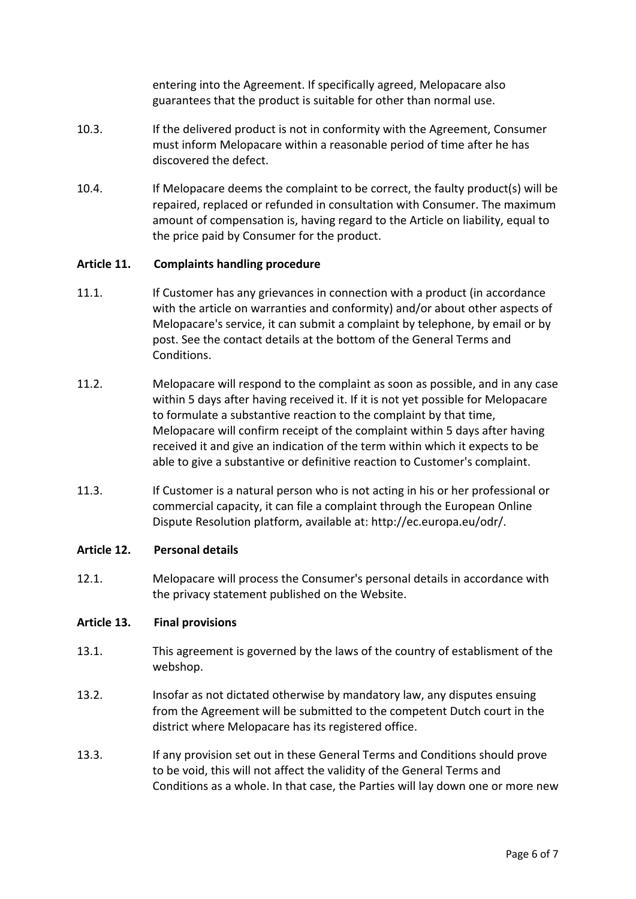entering into the Agreement. If specifically agreed, Melopacare also guarantees that the product is suitable for other than normal use.

- 10.3. If the delivered product is not in conformity with the Agreement, Consumer must inform Melopacare within a reasonable period of time after he has discovered the defect.
- 10.4. If Melopacare deems the complaint to be correct, the faulty product(s) will be repaired, replaced or refunded in consultation with Consumer. The maximum amount of compensation is, having regard to the Article on liability, equal to the price paid by Consumer for the product.

#### **Article 11. Complaints handling procedure**

- 11.1. If Customer has any grievances in connection with a product (in accordance with the article on warranties and conformity) and/or about other aspects of Melopacare's service, it can submit a complaint by telephone, by email or by post. See the contact details at the bottom of the General Terms and Conditions.
- 11.2. Melopacare will respond to the complaint as soon as possible, and in any case within 5 days after having received it. If it is not yet possible for Melopacare to formulate a substantive reaction to the complaint by that time, Melopacare will confirm receipt of the complaint within 5 days after having received it and give an indication of the term within which it expects to be able to give a substantive or definitive reaction to Customer's complaint.
- 11.3. If Customer is a natural person who is not acting in his or her professional or commercial capacity, it can file a complaint through the European Online Dispute Resolution platform, available at: http://ec.europa.eu/odr/.

#### **Article 12. Personal details**

12.1. Melopacare will process the Consumer's personal details in accordance with the privacy statement published on the Website.

#### **Article 13. Final provisions**

- 13.1. This agreement is governed by the laws of the country of establisment of the webshop.
- 13.2. Insofar as not dictated otherwise by mandatory law, any disputes ensuing from the Agreement will be submitted to the competent Dutch court in the district where Melopacare has its registered office.
- 13.3. If any provision set out in these General Terms and Conditions should prove to be void, this will not affect the validity of the General Terms and Conditions as a whole. In that case, the Parties will lay down one or more new